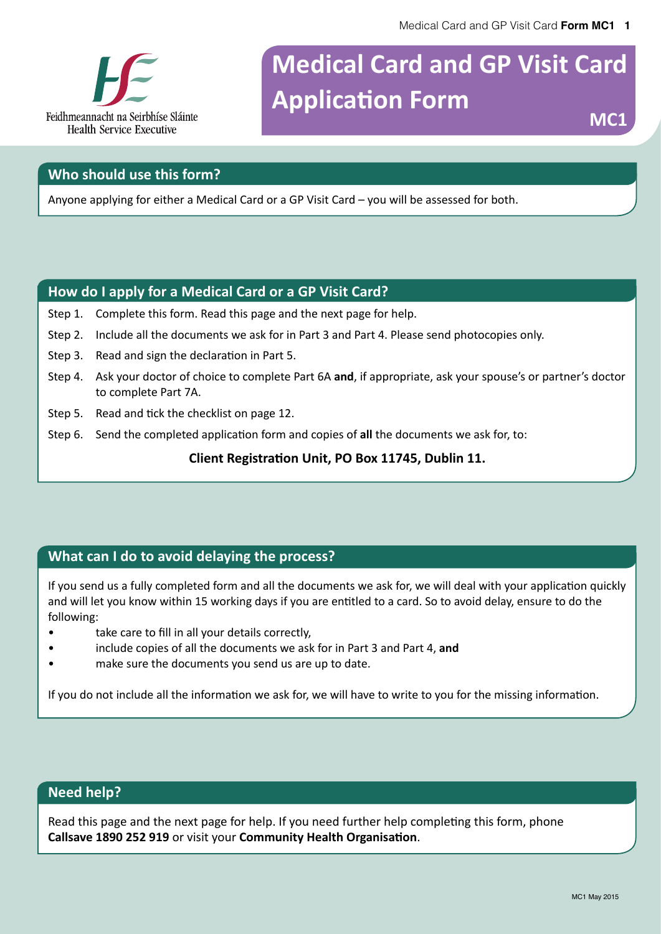

# **Medical Card and GP Visit Card Application Form** MC1

#### **Who should use this form?**

Anyone applying for either a Medical Card or a GP Visit Card – you will be assessed for both.

#### **How do I apply for a Medical Card or a GP Visit Card?**

- Step 1. Complete this form. Read this page and the next page for help.
- Step 2. Include all the documents we ask for in Part 3 and Part 4. Please send photocopies only.
- Step 3. Read and sign the declaration in Part 5.
- Step 4. Ask your doctor of choice to complete Part 6A **and**, if appropriate, ask your spouse's or partner's doctor to complete Part 7A.
- Step 5. Read and tick the checklist on page 12.
- Step 6. Send the completed application form and copies of **all** the documents we ask for, to:

**Client Registration Unit, PO Box 11745, Dublin 11.**

#### **What can I do to avoid delaying the process?**

If you send us a fully completed form and all the documents we ask for, we will deal with your application quickly and will let you know within 15 working days if you are entitled to a card. So to avoid delay, ensure to do the following:

- take care to fill in all your details correctly,
- include copies of all the documents we ask for in Part 3 and Part 4, **and**
- make sure the documents you send us are up to date.

If you do not include all the information we ask for, we will have to write to you for the missing information.

#### **Need help?**

Read this page and the next page for help. If you need further help completing this form, phone **Callsave 1890 252 919** or visit your **Community Health Organisation**.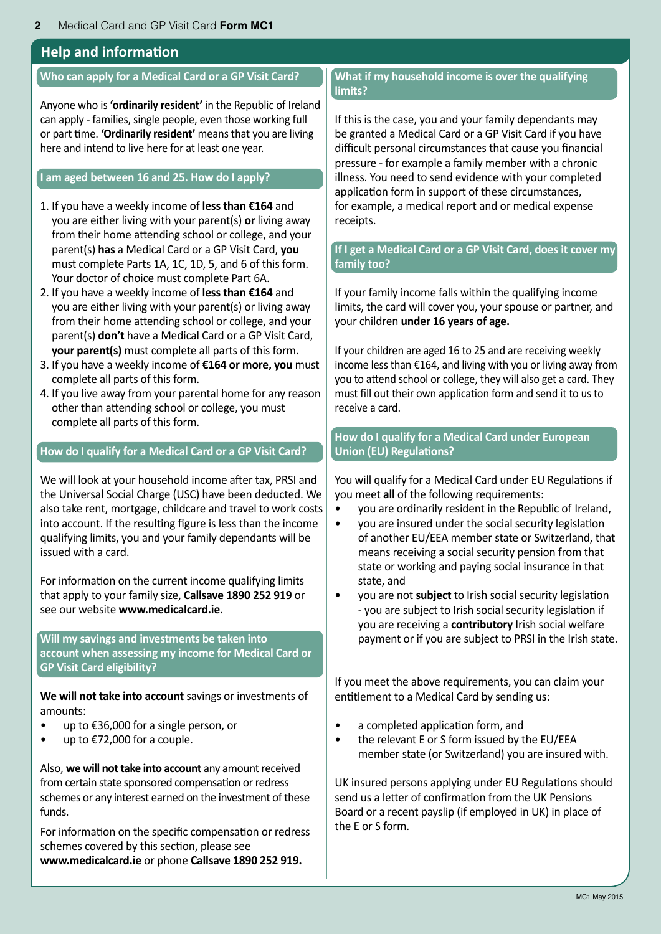#### **Help and information**

#### **Who can apply for a Medical Card or a GP Visit Card?**

Anyone who is **'ordinarily resident'** in the Republic of Ireland can apply - families, single people, even those working full or part time. **'Ordinarily resident'** means that you are living here and intend to live here for at least one year.

#### **I am aged between 16 and 25. How do I apply?**

- 1. If you have a weekly income of **less than €164** and you are either living with your parent(s) **or** living away from their home attending school or college, and your parent(s) **has** a Medical Card or a GP Visit Card, **you** must complete Parts 1A, 1C, 1D, 5, and 6 of this form. Your doctor of choice must complete Part 6A.
- 2. If you have a weekly income of **less than €164** and you are either living with your parent(s) or living away from their home attending school or college, and your parent(s) **don't** have a Medical Card or a GP Visit Card, **your parent(s)** must complete all parts of this form.
- 3. If you have a weekly income of **€164 or more, you** must complete all parts of this form.
- 4. If you live away from your parental home for any reason other than attending school or college, you must complete all parts of this form.

#### **How do I qualify for a Medical Card or a GP Visit Card?**

We will look at your household income after tax, PRSI and the Universal Social Charge (USC) have been deducted. We also take rent, mortgage, childcare and travel to work costs into account. If the resulting figure is less than the income qualifying limits, you and your family dependants will be issued with a card.

For information on the current income qualifying limits that apply to your family size, **Callsave 1890 252 919** or see our website **www.medicalcard.ie**.

**Will my savings and investments be taken into account when assessing my income for Medical Card or GP Visit Card eligibility?**

**We will not take into account** savings or investments of amounts:

- up to €36,000 for a single person, or
- up to €72,000 for a couple.

Also, **we will not take into account** any amount received from certain state sponsored compensation or redress schemes or any interest earned on the investment of these funds.

For information on the specific compensation or redress schemes covered by this section, please see **www.medicalcard.ie** or phone **Callsave 1890 252 919.**

#### **What if my household income is over the qualifying limits?**

If this is the case, you and your family dependants may be granted a Medical Card or a GP Visit Card if you have difficult personal circumstances that cause you financial pressure - for example a family member with a chronic illness. You need to send evidence with your completed application form in support of these circumstances, for example, a medical report and or medical expense receipts.

#### **If I get a Medical Card or a GP Visit Card, does it cover my family too?**

If your family income falls within the qualifying income limits, the card will cover you, your spouse or partner, and your children **under 16 years of age.**

If your children are aged 16 to 25 and are receiving weekly income less than €164, and living with you or living away from you to attend school or college, they will also get a card. They must fill out their own application form and send it to us to receive a card.

#### **How do I qualify for a Medical Card under European Union (EU) Regulations?**

You will qualify for a Medical Card under EU Regulations if you meet **all** of the following requirements:

- you are ordinarily resident in the Republic of Ireland,
- you are insured under the social security legislation of another EU/EEA member state or Switzerland, that means receiving a social security pension from that state or working and paying social insurance in that state, and
- you are not **subject** to Irish social security legislation - you are subject to Irish social security legislation if you are receiving a **contributory** Irish social welfare payment or if you are subject to PRSI in the Irish state.

If you meet the above requirements, you can claim your entitlement to a Medical Card by sending us:

- a completed application form, and
- the relevant E or S form issued by the EU/EEA member state (or Switzerland) you are insured with.

UK insured persons applying under EU Regulations should send us a letter of confirmation from the UK Pensions Board or a recent payslip (if employed in UK) in place of the E or S form.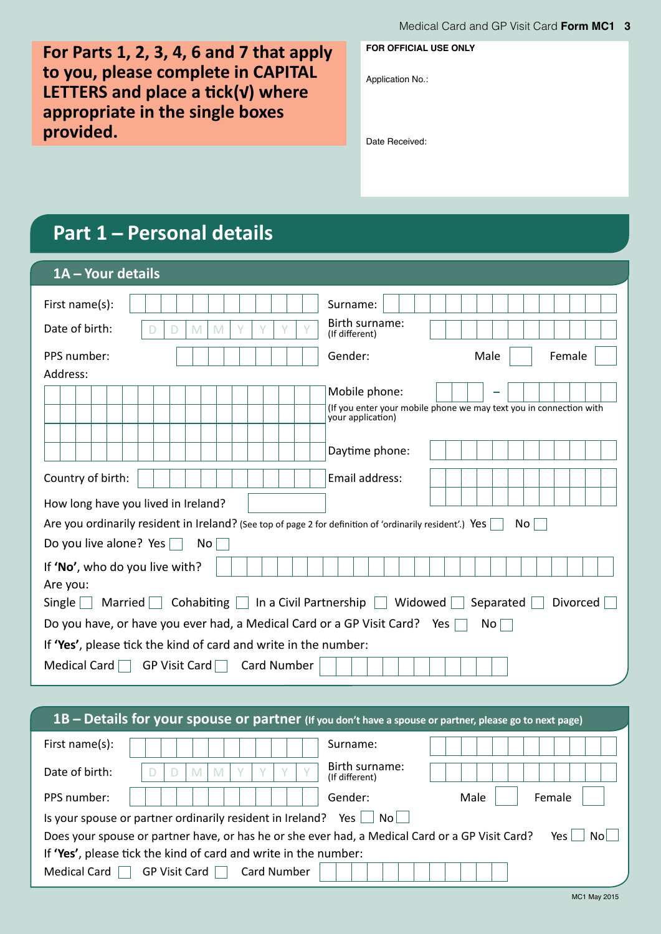**For Parts 1, 2, 3, 4, 6 and 7 that apply to you, please complete in CAPITAL LETTERS and place a tick ( ) where appropriate in the single boxes provided.**

**FOR OFFICIAL USE ONLY**

Application No.:

Date Received:

# **Part 1 ̶ Personal details**

| 1A - Your details                                                                                                                 |                                                                                         |  |  |  |  |  |  |  |
|-----------------------------------------------------------------------------------------------------------------------------------|-----------------------------------------------------------------------------------------|--|--|--|--|--|--|--|
| First name(s):<br>Date of birth:<br>M<br>M<br>D                                                                                   | Surname:<br>Birth surname:<br>(If different)                                            |  |  |  |  |  |  |  |
| PPS number:                                                                                                                       | Gender:<br>Male<br>Female                                                               |  |  |  |  |  |  |  |
| Address:                                                                                                                          |                                                                                         |  |  |  |  |  |  |  |
|                                                                                                                                   | Mobile phone:                                                                           |  |  |  |  |  |  |  |
|                                                                                                                                   | (If you enter your mobile phone we may text you in connection with<br>your application) |  |  |  |  |  |  |  |
|                                                                                                                                   | Daytime phone:                                                                          |  |  |  |  |  |  |  |
| Country of birth:                                                                                                                 | Email address:                                                                          |  |  |  |  |  |  |  |
| How long have you lived in Ireland?                                                                                               |                                                                                         |  |  |  |  |  |  |  |
| Are you ordinarily resident in Ireland? (See top of page 2 for definition of 'ordinarily resident'.) Yes                          | No.                                                                                     |  |  |  |  |  |  |  |
| Do you live alone? Yes<br>No l                                                                                                    |                                                                                         |  |  |  |  |  |  |  |
| If 'No', who do you live with?<br>Are you:<br>Cohabiting $\Box$ In a Civil Partnership $\Box$ Widowed<br>$Single \mid$<br>Married | Divorced<br>Separated                                                                   |  |  |  |  |  |  |  |
|                                                                                                                                   |                                                                                         |  |  |  |  |  |  |  |
| Do you have, or have you ever had, a Medical Card or a GP Visit Card? Yes                                                         | No                                                                                      |  |  |  |  |  |  |  |
| If 'Yes', please tick the kind of card and write in the number:                                                                   |                                                                                         |  |  |  |  |  |  |  |
| Medical Card GP Visit Card Card Number                                                                                            |                                                                                         |  |  |  |  |  |  |  |
|                                                                                                                                   |                                                                                         |  |  |  |  |  |  |  |

| 1B - Details for your spouse or partner (If you don't have a spouse or partner, please go to next page) |                                                                                                 |                                  |                |  |  |  |  |  |  |  |
|---------------------------------------------------------------------------------------------------------|-------------------------------------------------------------------------------------------------|----------------------------------|----------------|--|--|--|--|--|--|--|
| First name $(s)$ :                                                                                      |                                                                                                 | Surname:                         |                |  |  |  |  |  |  |  |
| Date of birth:                                                                                          | M<br>M                                                                                          | Birth surname:<br>(If different) |                |  |  |  |  |  |  |  |
| PPS number:                                                                                             |                                                                                                 | Gender:                          | Male<br>Female |  |  |  |  |  |  |  |
|                                                                                                         | Is your spouse or partner ordinarily resident in Ireland?                                       | No I<br>Yes                      |                |  |  |  |  |  |  |  |
|                                                                                                         | Does your spouse or partner have, or has he or she ever had, a Medical Card or a GP Visit Card? |                                  | Nol<br>Yes.    |  |  |  |  |  |  |  |
| If 'Yes', please tick the kind of card and write in the number:                                         |                                                                                                 |                                  |                |  |  |  |  |  |  |  |
| Medical Card                                                                                            | GP Visit Card<br><b>Card Number</b>                                                             |                                  |                |  |  |  |  |  |  |  |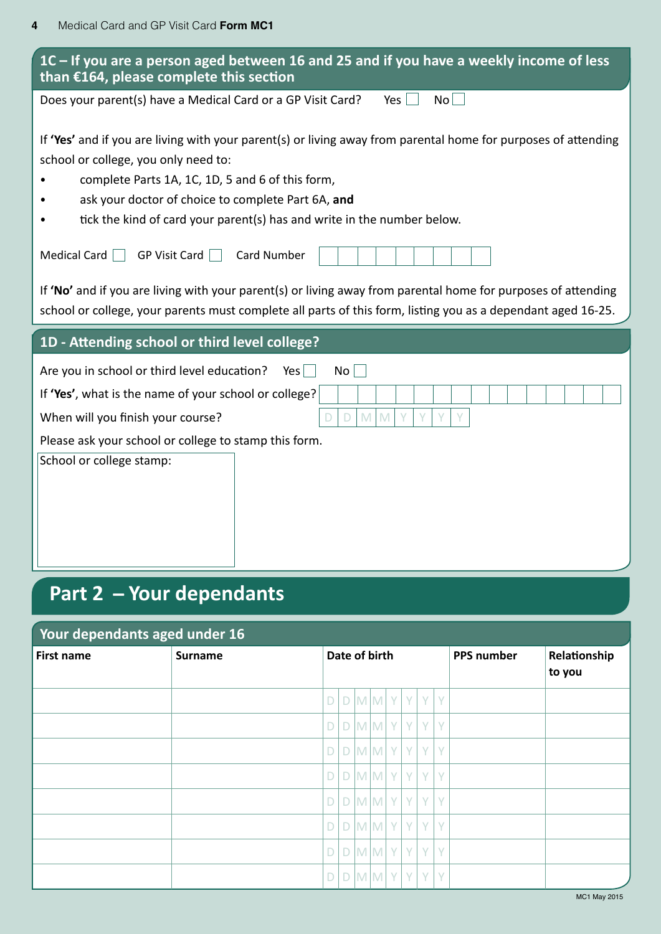| 1C – If you are a person aged between 16 and 25 and if you have a weekly income of less<br>than €164, please complete this section                                                                                            |  |  |  |  |  |  |
|-------------------------------------------------------------------------------------------------------------------------------------------------------------------------------------------------------------------------------|--|--|--|--|--|--|
| Does your parent(s) have a Medical Card or a GP Visit Card?<br>$\mathsf{No}$<br>Yes $ $                                                                                                                                       |  |  |  |  |  |  |
| If 'Yes' and if you are living with your parent(s) or living away from parental home for purposes of attending<br>school or college, you only need to:                                                                        |  |  |  |  |  |  |
| complete Parts 1A, 1C, 1D, 5 and 6 of this form,                                                                                                                                                                              |  |  |  |  |  |  |
| ask your doctor of choice to complete Part 6A, and<br>tick the kind of card your parent(s) has and write in the number below.                                                                                                 |  |  |  |  |  |  |
| Medical Card $\Box$<br><b>GP Visit Card</b><br><b>Card Number</b>                                                                                                                                                             |  |  |  |  |  |  |
| If 'No' and if you are living with your parent(s) or living away from parental home for purposes of attending<br>school or college, your parents must complete all parts of this form, listing you as a dependant aged 16-25. |  |  |  |  |  |  |
|                                                                                                                                                                                                                               |  |  |  |  |  |  |
| 1D - Attending school or third level college?                                                                                                                                                                                 |  |  |  |  |  |  |
| Are you in school or third level education?<br>$Yes$  <br>No                                                                                                                                                                  |  |  |  |  |  |  |
| If 'Yes', what is the name of your school or college?                                                                                                                                                                         |  |  |  |  |  |  |
| When will you finish your course?<br>M<br>Y<br>M<br>D                                                                                                                                                                         |  |  |  |  |  |  |
| Please ask your school or college to stamp this form.<br>School or college stamp:                                                                                                                                             |  |  |  |  |  |  |

# **Part 2 ̶ Your dependants**

### **Your dependants aged under 16**

| <b>First name</b> | <b>Surname</b> |   | Date of birth           |  |  |  |  |                                 |   | <b>PPS number</b> | Relationship<br>to you |
|-------------------|----------------|---|-------------------------|--|--|--|--|---------------------------------|---|-------------------|------------------------|
|                   |                |   |                         |  |  |  |  | $D[D M M Y Y Y Y$               |   |                   |                        |
|                   |                |   |                         |  |  |  |  | $D   D   M   M   Y   Y   Y  $   | Y |                   |                        |
|                   |                |   |                         |  |  |  |  | $D$ $D$ $M$ $M$ $Y$ $Y$ $Y$     | Y |                   |                        |
|                   |                |   |                         |  |  |  |  | $D[D M M Y Y Y $                | Y |                   |                        |
|                   |                | D | $D$ M M Y Y             |  |  |  |  | Y                               | Y |                   |                        |
|                   |                |   |                         |  |  |  |  | $D   D   M   M   Y   Y   Y   Y$ |   |                   |                        |
|                   |                |   | $D$ $D$ $M$ $M$ $Y$ $Y$ |  |  |  |  | Y.                              | Y |                   |                        |
|                   |                | D |                         |  |  |  |  | $D$ M M Y Y Y Y Y               |   |                   |                        |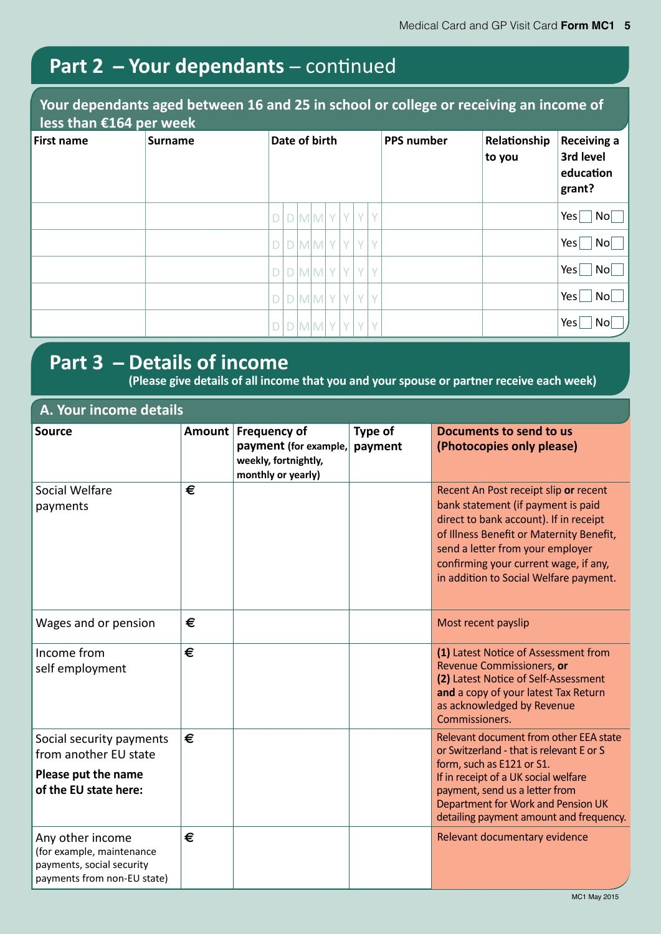# **Part 2 ̶ Your dependants** ̶ continued

#### **Your dependants aged between 16 and 25 in school or college or receiving an income of less than €164 per week**

| $1000$ criteri $000$ i por vicent |                |               |             |                                                         |  |  |   |  |     |        |  |  |                                   |  |  |  |  |                   |                        |                                                        |
|-----------------------------------|----------------|---------------|-------------|---------------------------------------------------------|--|--|---|--|-----|--------|--|--|-----------------------------------|--|--|--|--|-------------------|------------------------|--------------------------------------------------------|
| First name                        | <b>Surname</b> | Date of birth |             |                                                         |  |  |   |  |     |        |  |  |                                   |  |  |  |  | <b>PPS number</b> | Relationship<br>to you | <b>Receiving a</b><br>3rd level<br>education<br>grant? |
|                                   |                |               |             | $D[D M M Y Y Y Y$                                       |  |  |   |  |     |        |  |  | Yes<br>No                         |  |  |  |  |                   |                        |                                                        |
|                                   |                |               |             | $D[D M M Y Y Y Y$                                       |  |  |   |  |     |        |  |  | Yes <sub>l</sub><br>$\mathsf{No}$ |  |  |  |  |                   |                        |                                                        |
|                                   |                | D             |             | $\vert D \vert M \vert M \vert Y \vert Y \vert Y \vert$ |  |  |   |  |     | Y      |  |  | Yes<br>$\mathsf{No}$              |  |  |  |  |                   |                        |                                                        |
|                                   |                |               | $\Box$      | $M$ $M$ $Y$                                             |  |  |   |  | Y Y | $\vee$ |  |  | Yes<br>$\mathsf{No}$              |  |  |  |  |                   |                        |                                                        |
|                                   |                |               | $\mathsf D$ | MMY                                                     |  |  | Y |  | Y   | $\vee$ |  |  | Yes<br>$\overline{N}$             |  |  |  |  |                   |                        |                                                        |

### **Part 3 ̶ Details of income**

**(Please give details of all income that you and your spouse or partner receive each week)**

| A. Your income details                                                                                    |               |                                              |                    |                                                                                                                                                                                                                                                                                          |  |  |  |  |  |
|-----------------------------------------------------------------------------------------------------------|---------------|----------------------------------------------|--------------------|------------------------------------------------------------------------------------------------------------------------------------------------------------------------------------------------------------------------------------------------------------------------------------------|--|--|--|--|--|
| Source                                                                                                    | <b>Amount</b> | <b>Frequency of</b><br>payment (for example, | Type of<br>payment | Documents to send to us<br>(Photocopies only please)                                                                                                                                                                                                                                     |  |  |  |  |  |
|                                                                                                           |               | weekly, fortnightly,<br>monthly or yearly)   |                    |                                                                                                                                                                                                                                                                                          |  |  |  |  |  |
| Social Welfare<br>payments                                                                                | €             |                                              |                    | Recent An Post receipt slip or recent<br>bank statement (if payment is paid<br>direct to bank account). If in receipt<br>of Illness Benefit or Maternity Benefit,<br>send a letter from your employer<br>confirming your current wage, if any,<br>in addition to Social Welfare payment. |  |  |  |  |  |
| Wages and or pension                                                                                      | €             |                                              |                    | Most recent payslip                                                                                                                                                                                                                                                                      |  |  |  |  |  |
| Income from<br>self employment                                                                            | €             |                                              |                    | (1) Latest Notice of Assessment from<br>Revenue Commissioners, or<br>(2) Latest Notice of Self-Assessment<br>and a copy of your latest Tax Return<br>as acknowledged by Revenue<br>Commissioners.                                                                                        |  |  |  |  |  |
| Social security payments<br>from another EU state                                                         | €             |                                              |                    | Relevant document from other EEA state<br>or Switzerland - that is relevant E or S<br>form, such as E121 or S1.                                                                                                                                                                          |  |  |  |  |  |
| Please put the name<br>of the EU state here:                                                              |               |                                              |                    | If in receipt of a UK social welfare<br>payment, send us a letter from<br>Department for Work and Pension UK<br>detailing payment amount and frequency.                                                                                                                                  |  |  |  |  |  |
| Any other income<br>(for example, maintenance<br>payments, social security<br>payments from non-EU state) | €             |                                              |                    | Relevant documentary evidence                                                                                                                                                                                                                                                            |  |  |  |  |  |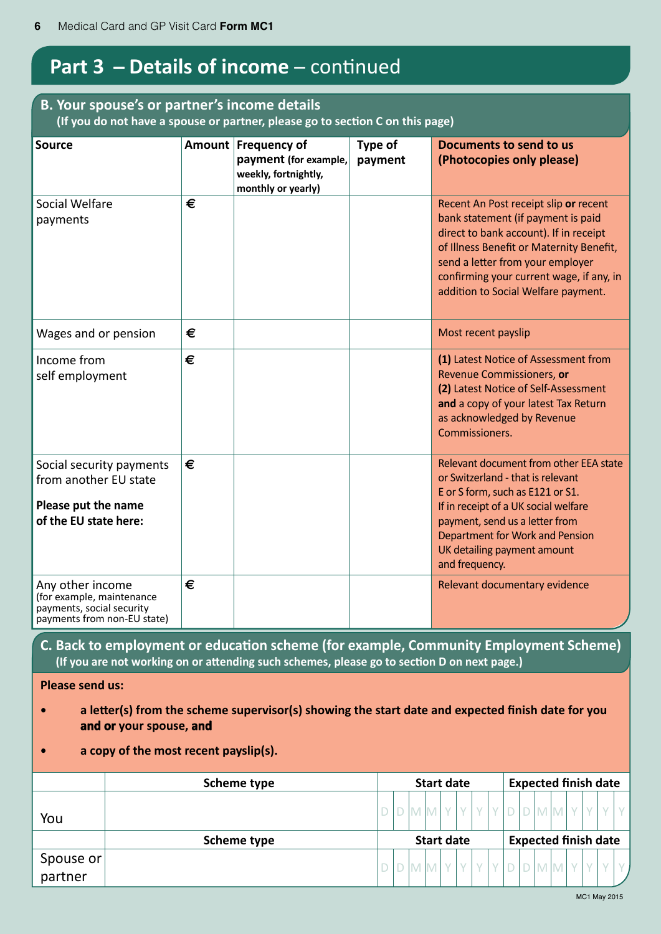# **Part 3 – Details of income – continued**

#### **B. Your spouse's or partner's income details (If you do not have a spouse or partner, please go to section C on this page)**

| <b>Source</b>                                                                                             |   | Amount Frequency of<br>payment (for example,<br>weekly, fortnightly,<br>monthly or yearly) | Type of<br>payment | Documents to send to us<br>(Photocopies only please)                                                                                                                                                                                                                                     |
|-----------------------------------------------------------------------------------------------------------|---|--------------------------------------------------------------------------------------------|--------------------|------------------------------------------------------------------------------------------------------------------------------------------------------------------------------------------------------------------------------------------------------------------------------------------|
| Social Welfare<br>payments                                                                                | € |                                                                                            |                    | Recent An Post receipt slip or recent<br>bank statement (if payment is paid<br>direct to bank account). If in receipt<br>of Illness Benefit or Maternity Benefit,<br>send a letter from your employer<br>confirming your current wage, if any, in<br>addition to Social Welfare payment. |
| Wages and or pension                                                                                      | € |                                                                                            |                    | Most recent payslip                                                                                                                                                                                                                                                                      |
| Income from<br>self employment                                                                            | € |                                                                                            |                    | (1) Latest Notice of Assessment from<br>Revenue Commissioners, or<br>(2) Latest Notice of Self-Assessment<br>and a copy of your latest Tax Return<br>as acknowledged by Revenue<br>Commissioners.                                                                                        |
| Social security payments<br>from another EU state<br>Please put the name<br>of the EU state here:         | € |                                                                                            |                    | Relevant document from other EEA state<br>or Switzerland - that is relevant<br>E or S form, such as E121 or S1.<br>If in receipt of a UK social welfare<br>payment, send us a letter from<br>Department for Work and Pension<br>UK detailing payment amount<br>and frequency.            |
| Any other income<br>(for example, maintenance<br>payments, social security<br>payments from non-EU state) | € |                                                                                            |                    | Relevant documentary evidence                                                                                                                                                                                                                                                            |
| (If you are not working on or attending such schemes, please go to section D on next page.)               |   |                                                                                            |                    | C. Back to employment or education scheme (for example, Community Employment Scheme)                                                                                                                                                                                                     |
| <b>Please send us:</b>                                                                                    |   |                                                                                            |                    |                                                                                                                                                                                                                                                                                          |
| and or your spouse, and                                                                                   |   |                                                                                            |                    | a letter(s) from the scheme supervisor(s) showing the start date and expected finish date for you                                                                                                                                                                                        |
| a copy of the most recent payslip(s).                                                                     |   |                                                                                            |                    |                                                                                                                                                                                                                                                                                          |

|                                                                   | Scheme type | <b>Start date</b> |  |  | <b>Expected finish date</b> |  |  |  |                             |  |  |  |  |  |  |
|-------------------------------------------------------------------|-------------|-------------------|--|--|-----------------------------|--|--|--|-----------------------------|--|--|--|--|--|--|
| You                                                               |             |                   |  |  |                             |  |  |  |                             |  |  |  |  |  |  |
|                                                                   | Scheme type |                   |  |  | <b>Start date</b>           |  |  |  | <b>Expected finish date</b> |  |  |  |  |  |  |
| $\begin{array}{c} \text{Spouse or} \\ \text{partner} \end{array}$ |             |                   |  |  |                             |  |  |  |                             |  |  |  |  |  |  |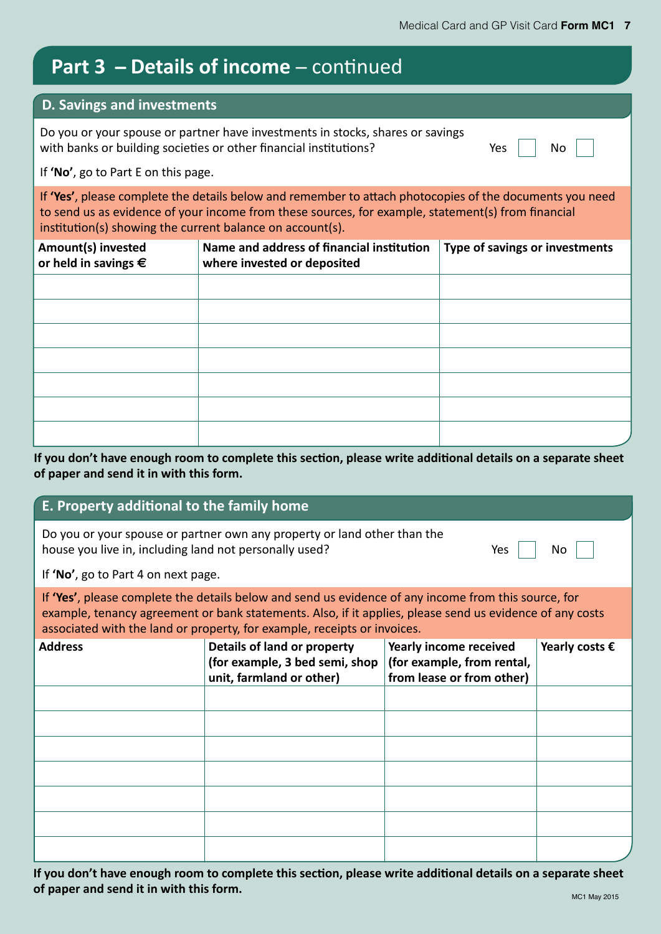### **Part 3 – Details of income** – continued

#### **D. Savings and investments**

Do you or your spouse or partner have investments in stocks, shares or savings with banks or building societies or other financial institutions?  $Yes$   $\Box$  No

If **'No'**, go to Part E on this page.

If **'Yes'**, please complete the details below and remember to attach photocopies of the documents you need to send us as evidence of your income from these sources, for example, statement(s) from financial institution(s) showing the current balance on account(s).

| Amount(s) invested<br>or held in savings $\epsilon$ | Name and address of financial institution<br>where invested or deposited | Type of savings or investments |
|-----------------------------------------------------|--------------------------------------------------------------------------|--------------------------------|
|                                                     |                                                                          |                                |
|                                                     |                                                                          |                                |
|                                                     |                                                                          |                                |
|                                                     |                                                                          |                                |
|                                                     |                                                                          |                                |
|                                                     |                                                                          |                                |
|                                                     |                                                                          |                                |

**If you don't have enough room to complete this section, please write additional details on a separate sheet of paper and send it in with this form.**

#### **E. Property additional to the family home**

| Do you or your spouse or partner own any property or land other than the |      |           |
|--------------------------------------------------------------------------|------|-----------|
| house you live in, including land not personally used?                   | Yes, | <b>No</b> |

If **'No'**, go to Part 4 on next page.

If **'Yes'**, please complete the details below and send us evidence of any income from this source, for example, tenancy agreement or bank statements. Also, if it applies, please send us evidence of any costs associated with the land or property, for example, receipts or invoices.

| <b>Address</b> | Details of land or property<br>(for example, 3 bed semi, shop<br>unit, farmland or other) | Yearly income received<br>(for example, from rental,<br>from lease or from other) | Yearly costs $\epsilon$ |
|----------------|-------------------------------------------------------------------------------------------|-----------------------------------------------------------------------------------|-------------------------|
|                |                                                                                           |                                                                                   |                         |
|                |                                                                                           |                                                                                   |                         |
|                |                                                                                           |                                                                                   |                         |
|                |                                                                                           |                                                                                   |                         |
|                |                                                                                           |                                                                                   |                         |
|                |                                                                                           |                                                                                   |                         |
|                |                                                                                           |                                                                                   |                         |

**If you don't have enough room to complete this section, please write additional details on a separate sheet of paper and send it in with this form.**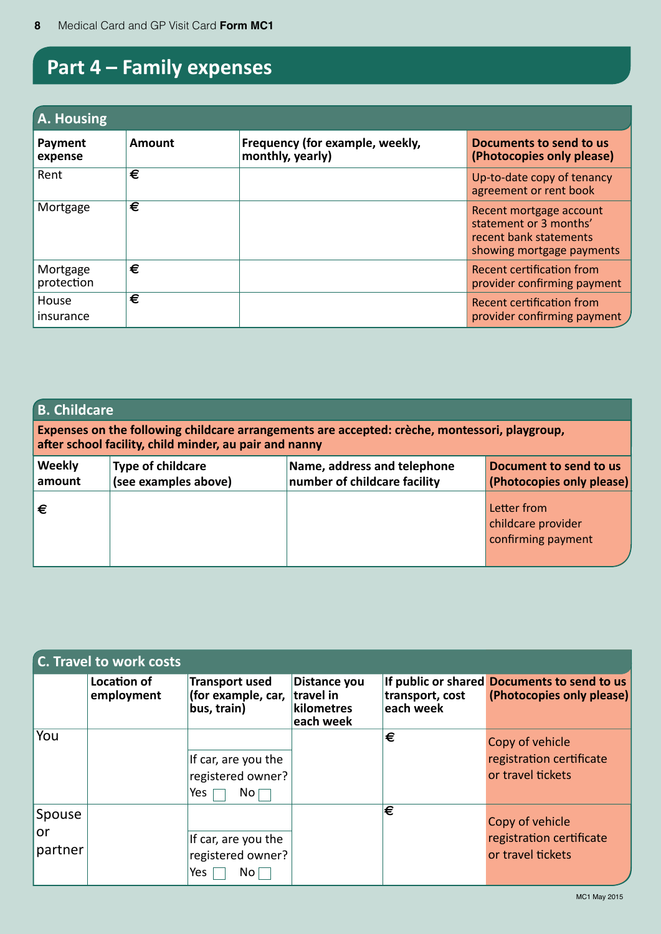# **Part 4 – Family expenses**

| A. Housing             |        |                                                     |                                                                                                          |  |  |  |  |  |  |
|------------------------|--------|-----------------------------------------------------|----------------------------------------------------------------------------------------------------------|--|--|--|--|--|--|
| Payment<br>expense     | Amount | Frequency (for example, weekly,<br>monthly, yearly) | Documents to send to us<br>(Photocopies only please)                                                     |  |  |  |  |  |  |
| Rent                   | €      |                                                     | Up-to-date copy of tenancy<br>agreement or rent book                                                     |  |  |  |  |  |  |
| Mortgage               | €      |                                                     | Recent mortgage account<br>statement or 3 months'<br>recent bank statements<br>showing mortgage payments |  |  |  |  |  |  |
| Mortgage<br>protection | €      |                                                     | Recent certification from<br>provider confirming payment                                                 |  |  |  |  |  |  |
| House<br>insurance     | €      |                                                     | Recent certification from<br>provider confirming payment /                                               |  |  |  |  |  |  |

| <b>B. Childcare</b>     | after school facility, child minder, au pair and nanny | Expenses on the following childcare arrangements are accepted: crèche, montessori, playgroup, |                                                         |
|-------------------------|--------------------------------------------------------|-----------------------------------------------------------------------------------------------|---------------------------------------------------------|
| <b>Weekly</b><br>amount | <b>Type of childcare</b><br>(see examples above)       | Name, address and telephone<br>number of childcare facility                                   | Document to send to us<br>(Photocopies only please)     |
| €                       |                                                        |                                                                                               | Letter from<br>childcare provider<br>confirming payment |

|                         | C. Travel to work costs   |                                                                    |                                                      |                                  |                                                                          |
|-------------------------|---------------------------|--------------------------------------------------------------------|------------------------------------------------------|----------------------------------|--------------------------------------------------------------------------|
|                         | Location of<br>employment | <b>Transport used</b><br>(for example, car,<br>bus, train)         | Distance you<br>travel in<br>kilometres<br>each week | transport, cost<br>$ $ each week | If public or shared Documents to send to us<br>(Photocopies only please) |
| You                     |                           | If car, are you the<br>registered owner?<br>No <sub>1</sub><br>Yes |                                                      | €                                | Copy of vehicle<br>registration certificate<br>or travel tickets         |
| Spouse<br>or<br>partner |                           | If car, are you the<br>registered owner?<br>Yes<br>No <sub>1</sub> |                                                      | Ι€                               | Copy of vehicle<br>registration certificate<br>or travel tickets         |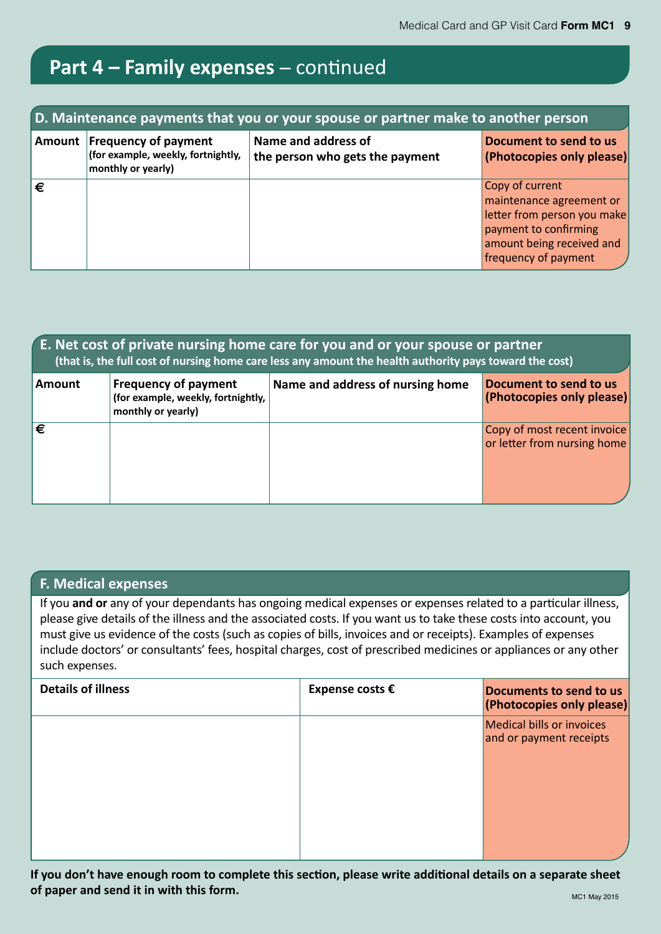# **Part 4 – Family expenses** ̶ continued

|            | D. Maintenance payments that you or your spouse or partner make to another person       |                                                        |                                                                                                                                                          |  |  |  |  |  |  |  |  |  |  |  |
|------------|-----------------------------------------------------------------------------------------|--------------------------------------------------------|----------------------------------------------------------------------------------------------------------------------------------------------------------|--|--|--|--|--|--|--|--|--|--|--|
|            | Amount Frequency of payment<br>(for example, weekly, fortnightly,<br>monthly or yearly) | Name and address of<br>the person who gets the payment | Document to send to us<br>(Photocopies only please)                                                                                                      |  |  |  |  |  |  |  |  |  |  |  |
| $\epsilon$ |                                                                                         |                                                        | Copy of current<br>maintenance agreement or<br>letter from person you make<br>payment to confirming<br>amount being received and<br>frequency of payment |  |  |  |  |  |  |  |  |  |  |  |

|        |                                                                                         | E. Net cost of private nursing home care for you and or your spouse or partner<br>(that is, the full cost of nursing home care less any amount the health authority pays toward the cost) |                                                            |
|--------|-----------------------------------------------------------------------------------------|-------------------------------------------------------------------------------------------------------------------------------------------------------------------------------------------|------------------------------------------------------------|
| Amount | <b>Frequency of payment</b><br>(for example, weekly, fortnightly,<br>monthly or yearly) | Name and address of nursing home                                                                                                                                                          | Document to send to us<br>(Photocopies only please)        |
| ι€     |                                                                                         |                                                                                                                                                                                           | Copy of most recent invoice<br>or letter from nursing home |

#### **F. Medical expenses**

If you **and or** any of your dependants has ongoing medical expenses or expenses related to a particular illness, please give details of the illness and the associated costs. If you want us to take these costs into account, you must give us evidence of the costs (such as copies of bills, invoices and or receipts). Examples of expenses include doctors' or consultants' fees, hospital charges, cost of prescribed medicines or appliances or any other such expenses.

| <b>Details of illness</b> | Expense costs $\epsilon$ | Documents to send to us<br>(Photocopies only please)        |
|---------------------------|--------------------------|-------------------------------------------------------------|
|                           |                          | <b>Medical bills or invoices</b><br>and or payment receipts |
|                           |                          |                                                             |

**If you don't have enough room to complete this section, please write additional details on a separate sheet of paper and send it in with this form.** The sense of the sense of the sense of the sense of the sense of the sense of the sense of the sense of the sense of the sense of the sense of the sense of the sense of the sense o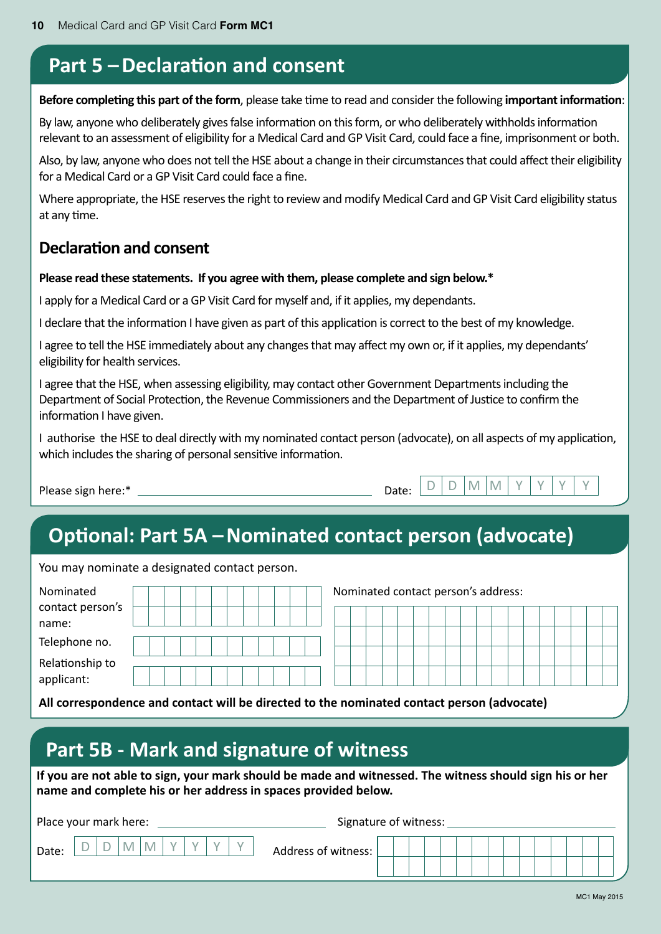### **Part 5 – Declaration and consent**

**Before completing this part of the form**, please take time to read and consider the following **important information**:

By law, anyone who deliberately gives false information on this form, or who deliberately withholds information relevant to an assessment of eligibility for a Medical Card and GP Visit Card, could face a fine, imprisonment or both.

Also, by law, anyone who does not tell the HSE about a change in their circumstances that could affect their eligibility for a Medical Card or a GP Visit Card could face a fine.

Where appropriate, the HSE reserves the right to review and modify Medical Card and GP Visit Card eligibility status at any time.

#### **Declaration and consent**

#### **Please read these statements. If you agree with them, please complete and sign below.\***

I apply for a Medical Card or a GP Visit Card for myself and, if it applies, my dependants.

I declare that the information I have given as part of this application is correct to the best of my knowledge.

I agree to tell the HSE immediately about any changes that may affect my own or, if it applies, my dependants' eligibility for health services.

I agree that the HSE, when assessing eligibility, may contact other Government Departments including the Department of Social Protection, the Revenue Commissioners and the Department of Justice to confirm the information I have given.

I authorise the HSE to deal directly with my nominated contact person (advocate), on all aspects of my application, which includes the sharing of personal sensitive information.

Please sign here:\* Date: D D M M Y Y Y Y

# **Optional: Part 5A – Nominated contact person (advocate)**

You may nominate a designated contact person.

| Nominated        |  |  |  |  |  |  | Nominated contact person's address: |  |  |  |  |  |  |  |
|------------------|--|--|--|--|--|--|-------------------------------------|--|--|--|--|--|--|--|
| contact person's |  |  |  |  |  |  |                                     |  |  |  |  |  |  |  |
| name:            |  |  |  |  |  |  |                                     |  |  |  |  |  |  |  |
| Telephone no.    |  |  |  |  |  |  |                                     |  |  |  |  |  |  |  |
| Relationship to  |  |  |  |  |  |  |                                     |  |  |  |  |  |  |  |
| applicant:       |  |  |  |  |  |  |                                     |  |  |  |  |  |  |  |

**All correspondence and contact will be directed to the nominated contact person (advocate)**

### **Part 5B - Mark and signature of witness**

**If you are not able to sign, your mark should be made and witnessed. The witness should sign his or her name and complete his or her address in spaces provided below.**

| Place your mark here: |                          |   |   |  |  | Signature of witness: |  |  |  |  |  |  |  |  |
|-----------------------|--------------------------|---|---|--|--|-----------------------|--|--|--|--|--|--|--|--|
| Date:                 | $\overline{\phantom{a}}$ | M | M |  |  | Address of witness:   |  |  |  |  |  |  |  |  |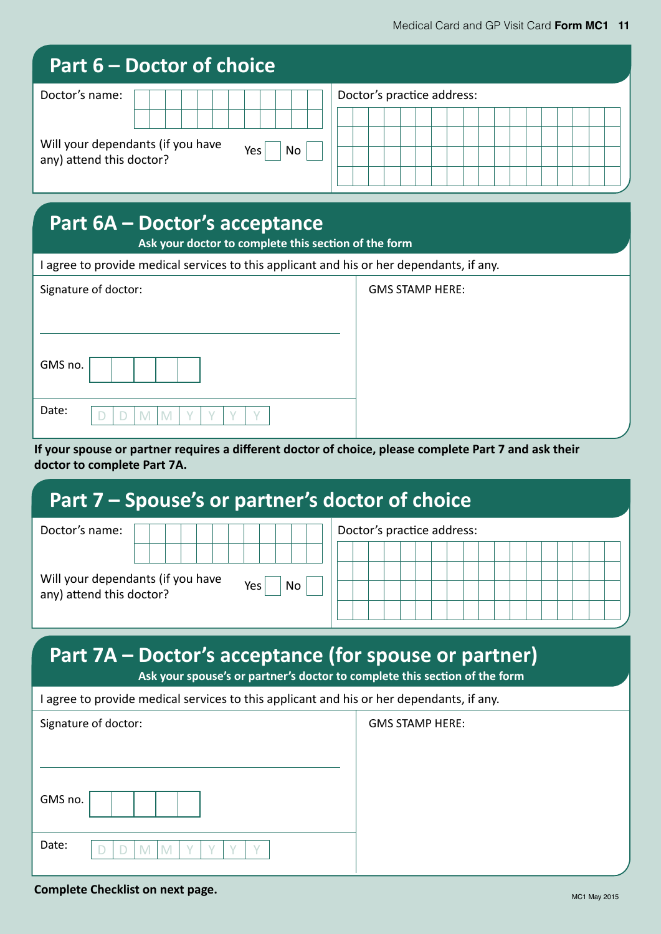| Part 6 – Doctor of choice                    |                            |
|----------------------------------------------|----------------------------|
| Doctor's name:                               | Doctor's practice address: |
| Will your dependants (if you have            |                            |
| <b>No</b><br>Yes<br>any) attend this doctor? |                            |
|                                              |                            |

### **Part 6A – Doctor's acceptance**

**Ask your doctor to complete this section of the form**

I agree to provide medical services to this applicant and his or her dependants, if any.

| Signature of doctor: |  |  |  |  |  |  |
|----------------------|--|--|--|--|--|--|
| GMS no.              |  |  |  |  |  |  |
| Date:                |  |  |  |  |  |  |

**GMS STAMP HERE:** 

**GMS STAMP HERE:** 

**If your spouse or partner requires a different doctor of choice, please complete Part 7 and ask their doctor to complete Part 7A.**

### **Part 7 – Spouse's or partner's doctor of choice**

| Doctor's name:                                                |  |  |                  |           |  |  | Doctor's practice address: |  |  |  |  |  |  |
|---------------------------------------------------------------|--|--|------------------|-----------|--|--|----------------------------|--|--|--|--|--|--|
|                                                               |  |  |                  |           |  |  |                            |  |  |  |  |  |  |
| Will your dependants (if you have<br>any) attend this doctor? |  |  | Yes <sub>1</sub> | <b>No</b> |  |  |                            |  |  |  |  |  |  |
|                                                               |  |  |                  |           |  |  |                            |  |  |  |  |  |  |

# **Part 7A – Doctor's acceptance (for spouse or partner)**

**Ask your spouse's or partner's doctor to complete this section of the form**

|  |  |  | I agree to provide medical services to this applicant and his or her dependants, if any. |
|--|--|--|------------------------------------------------------------------------------------------|
|--|--|--|------------------------------------------------------------------------------------------|

| Signature of doctor: |  |  |  |  |  |  |
|----------------------|--|--|--|--|--|--|
| GMS no.              |  |  |  |  |  |  |
| Date:                |  |  |  |  |  |  |

**Complete Checklist on next page.**